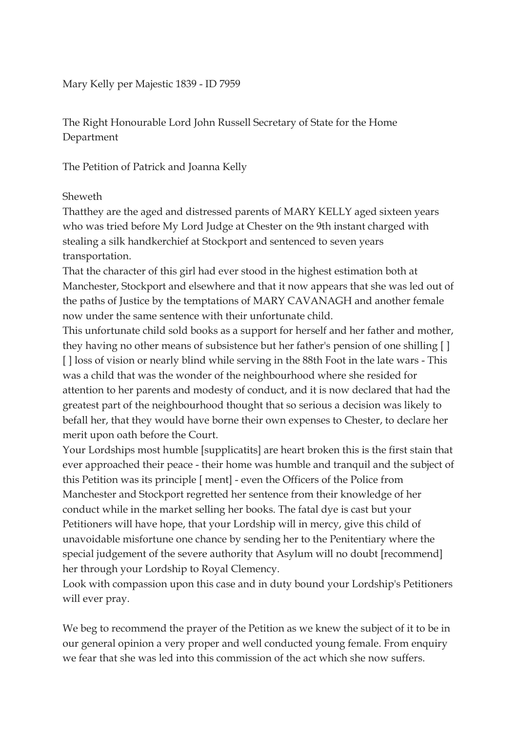Mary Kelly per Majestic 1839 - ID 7959

The Right Honourable Lord John Russell Secretary of State for the Home Department

The Petition of Patrick and Joanna Kelly

## Sheweth

Thatthey are the aged and distressed parents of MARY KELLY aged sixteen years who was tried before My Lord Judge at Chester on the 9th instant charged with stealing a silk handkerchief at Stockport and sentenced to seven years transportation.

That the character of this girl had ever stood in the highest estimation both at Manchester, Stockport and elsewhere and that it now appears that she was led out of the paths of Justice by the temptations of MARY CAVANAGH and another female now under the same sentence with their unfortunate child.

This unfortunate child sold books as a support for herself and her father and mother, they having no other means of subsistence but her father's pension of one shilling [ ] [] loss of vision or nearly blind while serving in the 88th Foot in the late wars - This was a child that was the wonder of the neighbourhood where she resided for attention to her parents and modesty of conduct, and it is now declared that had the greatest part of the neighbourhood thought that so serious a decision was likely to befall her, that they would have borne their own expenses to Chester, to declare her merit upon oath before the Court.

Your Lordships most humble [supplicatits] are heart broken this is the first stain that ever approached their peace - their home was humble and tranquil and the subject of this Petition was its principle [ ment] - even the Officers of the Police from Manchester and Stockport regretted her sentence from their knowledge of her conduct while in the market selling her books. The fatal dye is cast but your Petitioners will have hope, that your Lordship will in mercy, give this child of unavoidable misfortune one chance by sending her to the Penitentiary where the special judgement of the severe authority that Asylum will no doubt [recommend] her through your Lordship to Royal Clemency.

Look with compassion upon this case and in duty bound your Lordship's Petitioners will ever pray.

We beg to recommend the prayer of the Petition as we knew the subject of it to be in our general opinion a very proper and well conducted young female. From enquiry we fear that she was led into this commission of the act which she now suffers.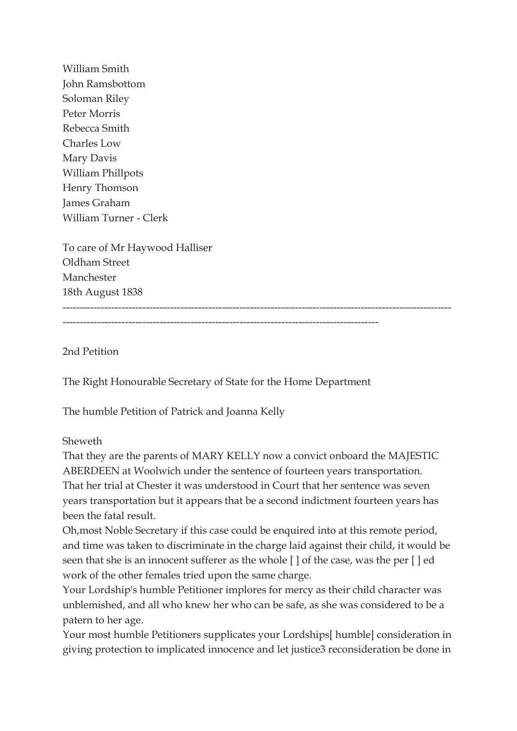William Smith John Ramsbottom Soloman Riley Peter Morris Rebecca Smith Charles Low Mary Davis William Phillpots Henry Thomson James Graham William Turner - Clerk

To care of Mr Haywood Halliser Oldham Street Manchester 18th August 1838 ----------------------------------------------------------------------------------------------------------------

-------------------------------------------------------------------------------------------

2nd Petition

The Right Honourable Secretary of State for the Home Department

The humble Petition of Patrick and Joanna Kelly

## Sheweth

That they are the parents of MARY KELLY now a convict onboard the MAJESTIC ABERDEEN at Woolwich under the sentence of fourteen years transportation. That her trial at Chester it was understood in Court that her sentence was seven years transportation but it appears that be a second indictment fourteen years has been the fatal result.

Oh,most Noble Secretary if this case could be enquired into at this remote period, and time was taken to discriminate in the charge laid against their child, it would be seen that she is an innocent sufferer as the whole [ ] of the case, was the per [ ] ed work of the other females tried upon the same charge.

Your Lordship's humble Petitioner implores for mercy as their child character was unblemished, and all who knew her who can be safe, as she was considered to be a patern to her age.

Your most humble Petitioners supplicates your Lordships[ humble] consideration in giving protection to implicated innocence and let justice3 reconsideration be done in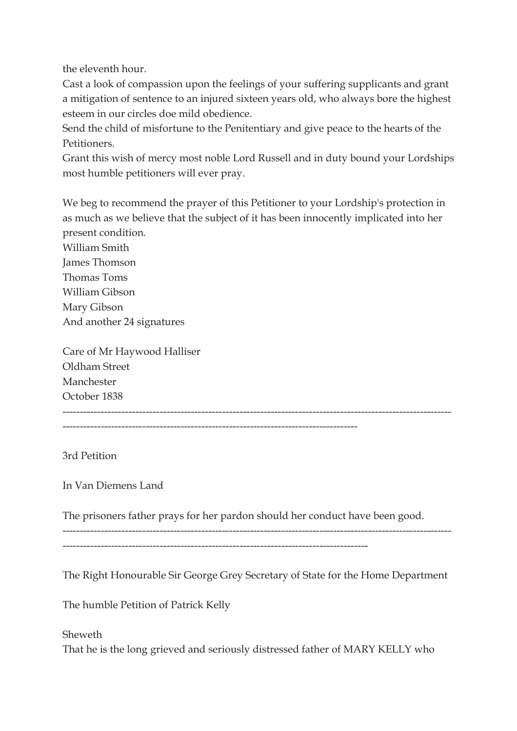the eleventh hour.

Cast a look of compassion upon the feelings of your suffering supplicants and grant a mitigation of sentence to an injured sixteen years old, who always bore the highest esteem in our circles doe mild obedience.

Send the child of misfortune to the Penitentiary and give peace to the hearts of the Petitioners.

Grant this wish of mercy most noble Lord Russell and in duty bound your Lordships most humble petitioners will ever pray.

We beg to recommend the prayer of this Petitioner to your Lordship's protection in as much as we believe that the subject of it has been innocently implicated into her present condition.

William Smith James Thomson Thomas Toms William Gibson Mary Gibson And another 24 signatures

Care of Mr Haywood Halliser Oldham Street Manchester October 1838 ----------------------------------------------------------------------------------------------------------------

-------------------------------------------------------------------------------------

3rd Petition

In Van Diemens Land

The prisoners father prays for her pardon should her conduct have been good.

----------------------------------------------------------------------------------------

The Right Honourable Sir George Grey Secretary of State for the Home Department

 $-$ 

The humble Petition of Patrick Kelly

Sheweth That he is the long grieved and seriously distressed father of MARY KELLY who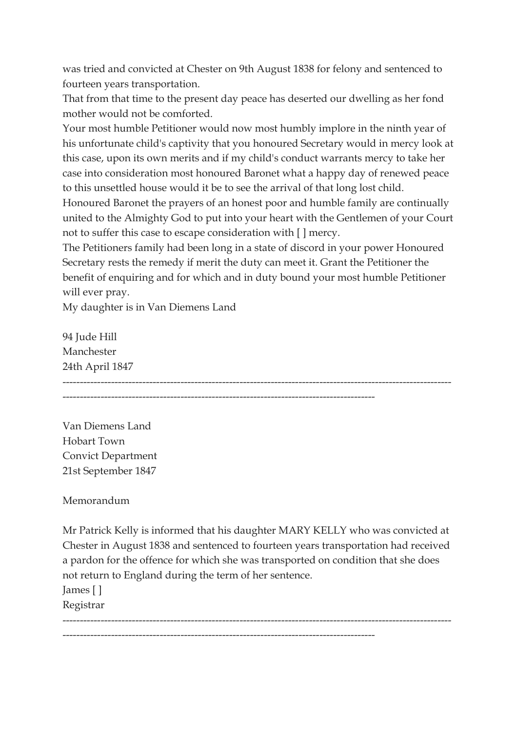was tried and convicted at Chester on 9th August 1838 for felony and sentenced to fourteen years transportation.

That from that time to the present day peace has deserted our dwelling as her fond mother would not be comforted.

Your most humble Petitioner would now most humbly implore in the ninth year of his unfortunate child's captivity that you honoured Secretary would in mercy look at this case, upon its own merits and if my child's conduct warrants mercy to take her case into consideration most honoured Baronet what a happy day of renewed peace to this unsettled house would it be to see the arrival of that long lost child.

Honoured Baronet the prayers of an honest poor and humble family are continually united to the Almighty God to put into your heart with the Gentlemen of your Court not to suffer this case to escape consideration with [ ] mercy.

The Petitioners family had been long in a state of discord in your power Honoured Secretary rests the remedy if merit the duty can meet it. Grant the Petitioner the benefit of enquiring and for which and in duty bound your most humble Petitioner will ever pray.

My daughter is in Van Diemens Land

94 Jude Hill Manchester 24th April 1847 ---------------------------------------------------------------------------------------------------------------- ------------------------------------------------------------------------------------------

Van Diemens Land Hobart Town Convict Department 21st September 1847

Memorandum

Mr Patrick Kelly is informed that his daughter MARY KELLY who was convicted at Chester in August 1838 and sentenced to fourteen years transportation had received a pardon for the offence for which she was transported on condition that she does not return to England during the term of her sentence.

----------------------------------------------------------------------------------------------------------------

------------------------------------------------------------------------------------------

James [ ]

Registrar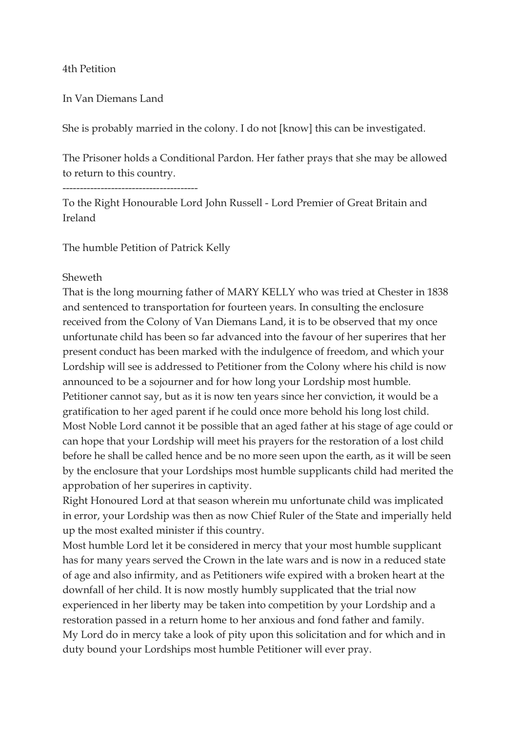## 4th Petition

In Van Diemans Land

She is probably married in the colony. I do not [know] this can be investigated.

The Prisoner holds a Conditional Pardon. Her father prays that she may be allowed to return to this country.

---------------------------------------

To the Right Honourable Lord John Russell - Lord Premier of Great Britain and Ireland

The humble Petition of Patrick Kelly

## Sheweth

That is the long mourning father of MARY KELLY who was tried at Chester in 1838 and sentenced to transportation for fourteen years. In consulting the enclosure received from the Colony of Van Diemans Land, it is to be observed that my once unfortunate child has been so far advanced into the favour of her superires that her present conduct has been marked with the indulgence of freedom, and which your Lordship will see is addressed to Petitioner from the Colony where his child is now announced to be a sojourner and for how long your Lordship most humble. Petitioner cannot say, but as it is now ten years since her conviction, it would be a gratification to her aged parent if he could once more behold his long lost child. Most Noble Lord cannot it be possible that an aged father at his stage of age could or can hope that your Lordship will meet his prayers for the restoration of a lost child before he shall be called hence and be no more seen upon the earth, as it will be seen by the enclosure that your Lordships most humble supplicants child had merited the approbation of her superires in captivity.

Right Honoured Lord at that season wherein mu unfortunate child was implicated in error, your Lordship was then as now Chief Ruler of the State and imperially held up the most exalted minister if this country.

Most humble Lord let it be considered in mercy that your most humble supplicant has for many years served the Crown in the late wars and is now in a reduced state of age and also infirmity, and as Petitioners wife expired with a broken heart at the downfall of her child. It is now mostly humbly supplicated that the trial now experienced in her liberty may be taken into competition by your Lordship and a restoration passed in a return home to her anxious and fond father and family. My Lord do in mercy take a look of pity upon this solicitation and for which and in duty bound your Lordships most humble Petitioner will ever pray.